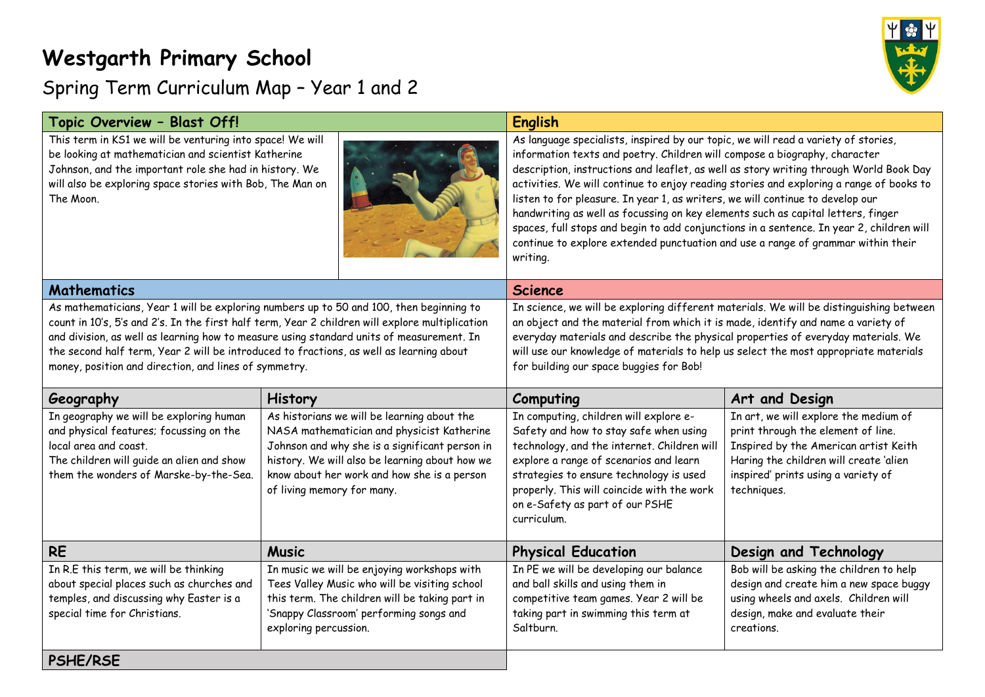## **Westgarth Primary School**

## $\mathbf{r}$

## Spring Term Curriculum Map – Year 1 and 2

| Topic Overview - Blast Off!                                                                                                                                                                                                                                                                                                                                                                                                                |                                                                                                                                                                                                                                                                            | <b>English</b>                                                                                                                                                                                                                                                                                                                                                                                                                                                                                                                                                                                                                                                                                                          |                                                                                                                                                                                                                      |
|--------------------------------------------------------------------------------------------------------------------------------------------------------------------------------------------------------------------------------------------------------------------------------------------------------------------------------------------------------------------------------------------------------------------------------------------|----------------------------------------------------------------------------------------------------------------------------------------------------------------------------------------------------------------------------------------------------------------------------|-------------------------------------------------------------------------------------------------------------------------------------------------------------------------------------------------------------------------------------------------------------------------------------------------------------------------------------------------------------------------------------------------------------------------------------------------------------------------------------------------------------------------------------------------------------------------------------------------------------------------------------------------------------------------------------------------------------------------|----------------------------------------------------------------------------------------------------------------------------------------------------------------------------------------------------------------------|
| This term in KS1 we will be venturing into space! We will<br>be looking at mathematician and scientist Katherine<br>Johnson, and the important role she had in history. We<br>will also be exploring space stories with Bob, The Man on<br>The Moon.                                                                                                                                                                                       |                                                                                                                                                                                                                                                                            | As language specialists, inspired by our topic, we will read a variety of stories,<br>information texts and poetry. Children will compose a biography, character<br>description, instructions and leaflet, as well as story writing through World Book Day<br>activities. We will continue to enjoy reading stories and exploring a range of books to<br>listen to for pleasure. In year 1, as writers, we will continue to develop our<br>handwriting as well as focussing on key elements such as capital letters, finger<br>spaces, full stops and begin to add conjunctions in a sentence. In year 2, children will<br>continue to explore extended punctuation and use a range of grammar within their<br>writing. |                                                                                                                                                                                                                      |
| <b>Mathematics</b>                                                                                                                                                                                                                                                                                                                                                                                                                         |                                                                                                                                                                                                                                                                            | <b>Science</b>                                                                                                                                                                                                                                                                                                                                                                                                                                                                                                                                                                                                                                                                                                          |                                                                                                                                                                                                                      |
| As mathematicians, Year 1 will be exploring numbers up to 50 and 100, then beginning to<br>count in 10's, 5's and 2's. In the first half term, Year 2 children will explore multiplication<br>and division, as well as learning how to measure using standard units of measurement. In<br>the second half term, Year 2 will be introduced to fractions, as well as learning about<br>money, position and direction, and lines of symmetry. |                                                                                                                                                                                                                                                                            | In science, we will be exploring different materials. We will be distinguishing between<br>an object and the material from which it is made, identify and name a variety of<br>everyday materials and describe the physical properties of everyday materials. We<br>will use our knowledge of materials to help us select the most appropriate materials<br>for building our space buggies for Bob!                                                                                                                                                                                                                                                                                                                     |                                                                                                                                                                                                                      |
| Geography                                                                                                                                                                                                                                                                                                                                                                                                                                  | History                                                                                                                                                                                                                                                                    | Computing                                                                                                                                                                                                                                                                                                                                                                                                                                                                                                                                                                                                                                                                                                               | Art and Design                                                                                                                                                                                                       |
| In geography we will be exploring human<br>and physical features; focussing on the<br>local area and coast.<br>The children will guide an alien and show<br>them the wonders of Marske-by-the-Sea.                                                                                                                                                                                                                                         | As historians we will be learning about the<br>NASA mathematician and physicist Katherine<br>Johnson and why she is a significant person in<br>history. We will also be learning about how we<br>know about her work and how she is a person<br>of living memory for many. | In computing, children will explore e-<br>Safety and how to stay safe when using<br>technology, and the internet. Children will<br>explore a range of scenarios and learn<br>strategies to ensure technology is used<br>properly. This will coincide with the work<br>on e-Safety as part of our PSHE<br>curriculum.                                                                                                                                                                                                                                                                                                                                                                                                    | In art, we will explore the medium of<br>print through the element of line.<br>Inspired by the American artist Keith<br>Haring the children will create 'alien<br>inspired' prints using a variety of<br>techniques. |
| <b>RE</b>                                                                                                                                                                                                                                                                                                                                                                                                                                  | <b>Music</b>                                                                                                                                                                                                                                                               | <b>Physical Education</b>                                                                                                                                                                                                                                                                                                                                                                                                                                                                                                                                                                                                                                                                                               | Design and Technology                                                                                                                                                                                                |
| In R.E this term, we will be thinking<br>about special places such as churches and<br>temples, and discussing why Easter is a<br>special time for Christians.                                                                                                                                                                                                                                                                              | In music we will be enjoying workshops with<br>Tees Valley Music who will be visiting school<br>this term. The children will be taking part in<br>'Snappy Classroom' performing songs and<br>exploring percussion.                                                         | In PE we will be developing our balance<br>and ball skills and using them in<br>competitive team games. Year 2 will be<br>taking part in swimming this term at<br>Saltburn.                                                                                                                                                                                                                                                                                                                                                                                                                                                                                                                                             | Bob will be asking the children to help<br>design and create him a new space buggy<br>using wheels and axels. Children will<br>design, make and evaluate their<br>creations.                                         |
| <b>PSHE/RSE</b>                                                                                                                                                                                                                                                                                                                                                                                                                            |                                                                                                                                                                                                                                                                            |                                                                                                                                                                                                                                                                                                                                                                                                                                                                                                                                                                                                                                                                                                                         |                                                                                                                                                                                                                      |